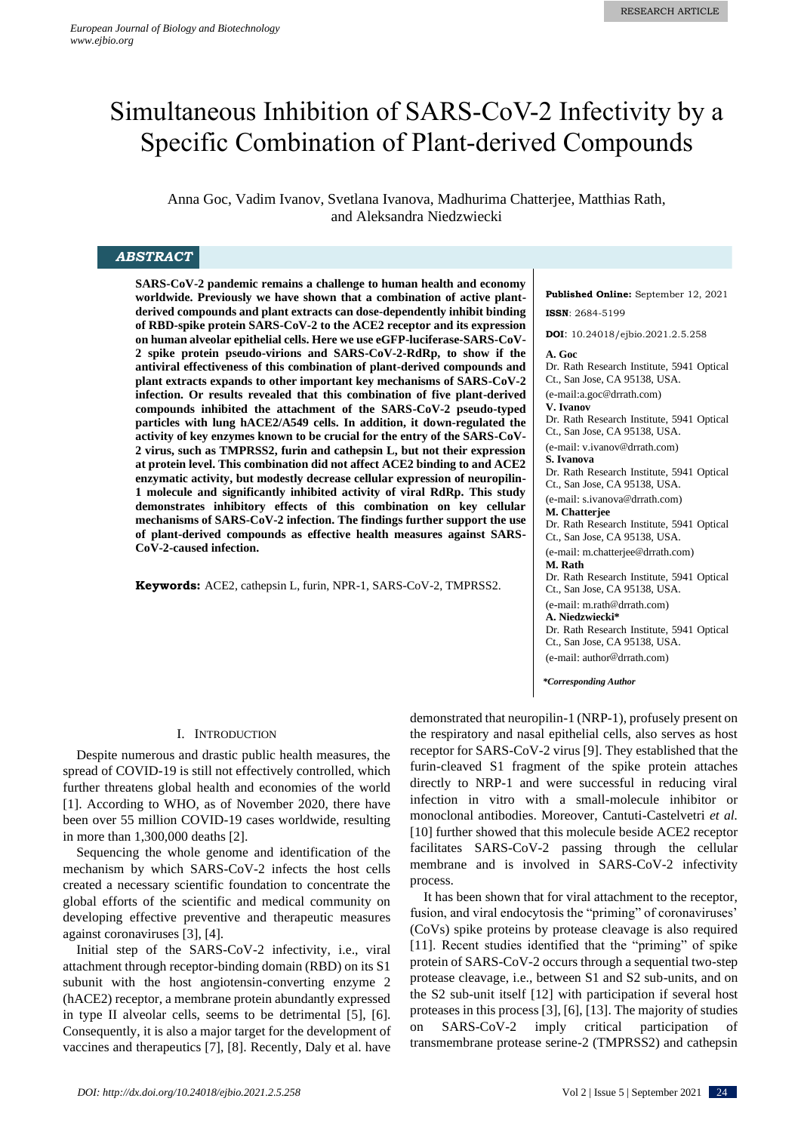# Simultaneous Inhibition of SARS-CoV-2 Infectivity by a Specific Combination of Plant-derived Compounds

Anna Goc, Vadim Ivanov, Svetlana Ivanova, Madhurima Chatterjee, Matthias Rath, and Aleksandra Niedzwiecki

## *ABSTRACT*

**SARS-CoV-2 pandemic remains a challenge to human health and economy worldwide. Previously we have shown that a combination of active plantderived compounds and plant extracts can dose-dependently inhibit binding of RBD-spike protein SARS-CoV-2 to the ACE2 receptor and its expression on human alveolar epithelial cells. Here we use eGFP-luciferase-SARS-CoV-2 spike protein pseudo-virions and SARS-CoV-2-RdRp, to show if the antiviral effectiveness of this combination of plant-derived compounds and plant extracts expands to other important key mechanisms of SARS-CoV-2 infection. Or results revealed that this combination of five plant-derived compounds inhibited the attachment of the SARS-CoV-2 pseudo-typed particles with lung hACE2/A549 cells. In addition, it down-regulated the activity of key enzymes known to be crucial for the entry of the SARS-CoV-2 virus, such as TMPRSS2, furin and cathepsin L, but not their expression at protein level. This combination did not affect ACE2 binding to and ACE2 enzymatic activity, but modestly decrease cellular expression of neuropilin-1 molecule and significantly inhibited activity of viral RdRp. This study demonstrates inhibitory effects of this combination on key cellular mechanisms of SARS-CoV-2 infection. The findings further support the use of plant-derived compounds as effective health measures against SARS-CoV-2-caused infection.**

**Keywords:** ACE2, cathepsin L, furin, NPR-1, SARS-CoV-2, TMPRSS2.

## I. INTRODUCTION

Despite numerous and drastic public health measures, the spread of COVID-19 is still not effectively controlled, which further threatens global health and economies of the world [1]. According to WHO, as of November 2020, there have been over 55 million COVID-19 cases worldwide, resulting in more than 1,300,000 deaths [2].

Sequencing the whole genome and identification of the mechanism by which SARS-CoV-2 infects the host cells created a necessary scientific foundation to concentrate the global efforts of the scientific and medical community on developing effective preventive and therapeutic measures against coronaviruses [3], [4].

Initial step of the SARS-CoV-2 infectivity, i.e., viral attachment through receptor-binding domain (RBD) on its S1 subunit with the host angiotensin-converting enzyme 2 (hACE2) receptor, a membrane protein abundantly expressed in type II alveolar cells, seems to be detrimental [5], [6]. Consequently, it is also a major target for the development of vaccines and therapeutics [7], [8]. Recently, Daly et al. have **Published Online:** September 12, 2021 **ISSN**: 2684-5199

**DOI**: 10.24018/ejbio.2021.2.5.258

**A. Goc** Dr. Rath Research Institute, 5941 Optical Ct., San Jose, CA 95138, USA. (e-mail:a.goc@drrath.com) **V. Ivanov**  Dr. Rath Research Institute, 5941 Optical Ct., San Jose, CA 95138, USA. (e-mail: v.ivanov@drrath.com) **S. Ivanova** Dr. Rath Research Institute, 5941 Optical Ct., San Jose, CA 95138, USA. (e-mail: s.ivanova@drrath.com) **M. Chatterjee** Dr. Rath Research Institute, 5941 Optical Ct., San Jose, CA 95138, USA. (e-mail: m.chatterjee@drrath.com) **M. Rath** Dr. Rath Research Institute, 5941 Optical Ct., San Jose, CA 95138, USA. (e-mail: m.rath@drrath.com) **A. Niedzwiecki\*** Dr. Rath Research Institute, 5941 Optical Ct., San Jose, CA 95138, USA. (e-mail: author@drrath.com)

*\*Corresponding Author*

demonstrated that neuropilin-1 (NRP-1), profusely present on the respiratory and nasal epithelial cells, also serves as host receptor for SARS-CoV-2 virus [9]. They established that the furin-cleaved S1 fragment of the spike protein attaches directly to NRP-1 and were successful in reducing viral infection in vitro with a small-molecule inhibitor or monoclonal antibodies. Moreover, Cantuti-Castelvetri *et al.* [10] further showed that this molecule beside ACE2 receptor facilitates SARS-CoV-2 passing through the cellular membrane and is involved in SARS-CoV-2 infectivity process.

It has been shown that for viral attachment to the receptor, fusion, and viral endocytosis the "priming" of coronaviruses' (CoVs) spike proteins by protease cleavage is also required [11]. Recent studies identified that the "priming" of spike protein of SARS-CoV-2 occurs through a sequential two-step protease cleavage, i.e., between S1 and S2 sub-units, and on the S2 sub-unit itself [12] with participation if several host proteases in this process [3], [6], [13]. The majority of studies on SARS-CoV-2 imply critical participation of transmembrane protease serine-2 (TMPRSS2) and cathepsin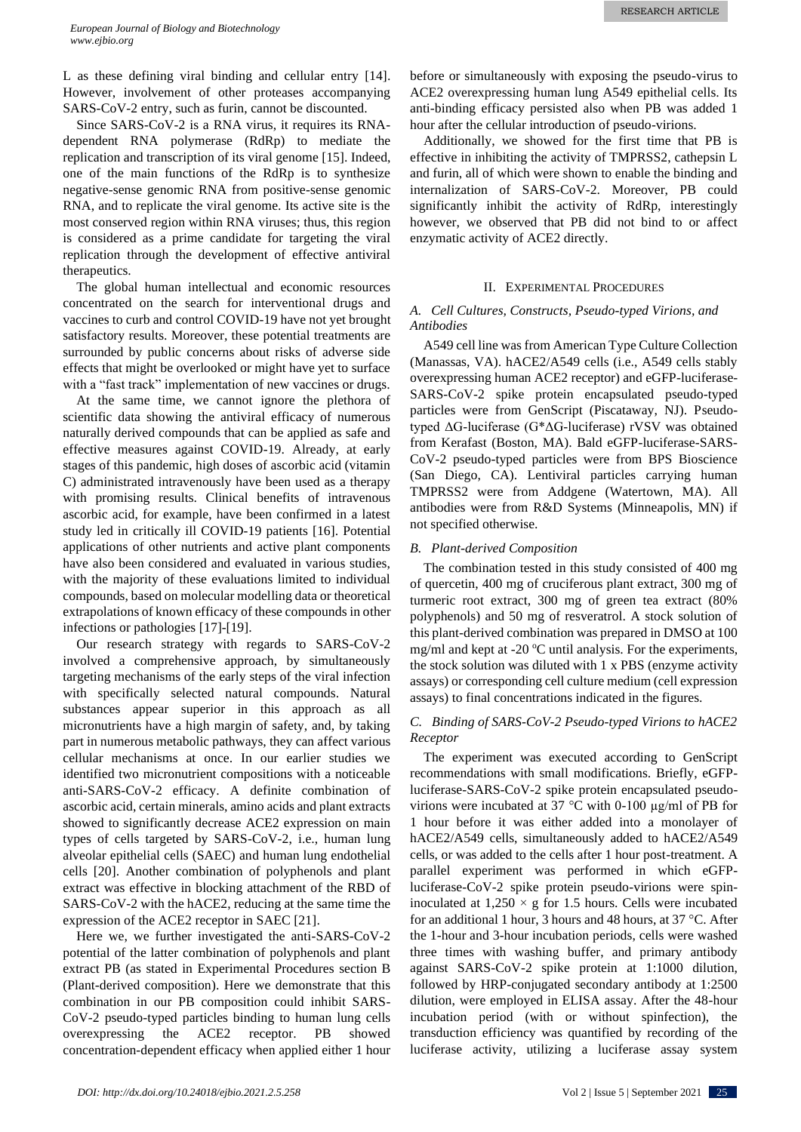L as these defining viral binding and cellular entry [14]. However, involvement of other proteases accompanying SARS-CoV-2 entry, such as furin, cannot be discounted.

Since SARS-CoV-2 is a RNA virus, it requires its RNAdependent RNA polymerase (RdRp) to mediate the replication and transcription of its viral genome [15]. Indeed, one of the main functions of the RdRp is to synthesize negative-sense genomic RNA from positive-sense genomic RNA, and to replicate the viral genome. Its active site is the most conserved region within RNA viruses; thus, this region is considered as a prime candidate for targeting the viral replication through the development of effective antiviral therapeutics.

The global human intellectual and economic resources concentrated on the search for interventional drugs and vaccines to curb and control COVID-19 have not yet brought satisfactory results. Moreover, these potential treatments are surrounded by public concerns about risks of adverse side effects that might be overlooked or might have yet to surface with a "fast track" implementation of new vaccines or drugs.

At the same time, we cannot ignore the plethora of scientific data showing the antiviral efficacy of numerous naturally derived compounds that can be applied as safe and effective measures against COVID-19. Already, at early stages of this pandemic, high doses of ascorbic acid (vitamin C) administrated intravenously have been used as a therapy with promising results. Clinical benefits of intravenous ascorbic acid, for example, have been confirmed in a latest study led in critically ill COVID-19 patients [16]. Potential applications of other nutrients and active plant components have also been considered and evaluated in various studies, with the majority of these evaluations limited to individual compounds, based on molecular modelling data or theoretical extrapolations of known efficacy of these compounds in other infections or pathologies [17]-[19].

Our research strategy with regards to SARS-CoV-2 involved a comprehensive approach, by simultaneously targeting mechanisms of the early steps of the viral infection with specifically selected natural compounds. Natural substances appear superior in this approach as all micronutrients have a high margin of safety, and, by taking part in numerous metabolic pathways, they can affect various cellular mechanisms at once. In our earlier studies we identified two micronutrient compositions with a noticeable anti-SARS-CoV-2 efficacy. A definite combination of ascorbic acid, certain minerals, amino acids and plant extracts showed to significantly decrease ACE2 expression on main types of cells targeted by SARS-CoV-2, i.e., human lung alveolar epithelial cells (SAEC) and human lung endothelial cells [20]. Another combination of polyphenols and plant extract was effective in blocking attachment of the RBD of SARS-CoV-2 with the hACE2, reducing at the same time the expression of the ACE2 receptor in SAEC [21].

Here we, we further investigated the anti-SARS-CoV-2 potential of the latter combination of polyphenols and plant extract PB (as stated in Experimental Procedures section B (Plant-derived composition). Here we demonstrate that this combination in our PB composition could inhibit SARS-CoV-2 pseudo-typed particles binding to human lung cells overexpressing the ACE2 receptor. PB showed concentration-dependent efficacy when applied either 1 hour before or simultaneously with exposing the pseudo-virus to ACE2 overexpressing human lung A549 epithelial cells. Its anti-binding efficacy persisted also when PB was added 1 hour after the cellular introduction of pseudo-virions.

Additionally, we showed for the first time that PB is effective in inhibiting the activity of TMPRSS2, cathepsin L and furin, all of which were shown to enable the binding and internalization of SARS-CoV-2. Moreover, PB could significantly inhibit the activity of RdRp, interestingly however, we observed that PB did not bind to or affect enzymatic activity of ACE2 directly.

## II. EXPERIMENTAL PROCEDURES

## *A. Cell Cultures, Constructs, Pseudo-typed Virions, and Antibodies*

A549 cell line was from American Type Culture Collection (Manassas, VA). hACE2/A549 cells (i.e., A549 cells stably overexpressing human ACE2 receptor) and eGFP-luciferase-SARS-CoV-2 spike protein encapsulated pseudo-typed particles were from GenScript (Piscataway, NJ). Pseudotyped ΔG-luciferase (G\*ΔG-luciferase) rVSV was obtained from Kerafast (Boston, MA). Bald eGFP-luciferase-SARS-CoV-2 pseudo-typed particles were from BPS Bioscience (San Diego, CA). Lentiviral particles carrying human TMPRSS2 were from Addgene (Watertown, MA). All antibodies were from R&D Systems (Minneapolis, MN) if not specified otherwise.

# *B. Plant-derived Composition*

The combination tested in this study consisted of 400 mg of quercetin, 400 mg of cruciferous plant extract, 300 mg of turmeric root extract, 300 mg of green tea extract (80% polyphenols) and 50 mg of resveratrol. A stock solution of this plant-derived combination was prepared in DMSO at 100 mg/ml and kept at -20  $^{\circ}$ C until analysis. For the experiments, the stock solution was diluted with 1 x PBS (enzyme activity assays) or corresponding cell culture medium (cell expression assays) to final concentrations indicated in the figures.

## *C. Binding of SARS-CoV-2 Pseudo-typed Virions to hACE2 Receptor*

The experiment was executed according to GenScript recommendations with small modifications. Briefly, eGFPluciferase-SARS-CoV-2 spike protein encapsulated pseudovirions were incubated at 37  $\degree$ C with 0-100 µg/ml of PB for 1 hour before it was either added into a monolayer of hACE2/A549 cells, simultaneously added to hACE2/A549 cells, or was added to the cells after 1 hour post-treatment. A parallel experiment was performed in which eGFPluciferase-CoV-2 spike protein pseudo-virions were spininoculated at  $1,250 \times g$  for 1.5 hours. Cells were incubated for an additional 1 hour, 3 hours and 48 hours, at 37 °C. After the 1-hour and 3-hour incubation periods, cells were washed three times with washing buffer, and primary antibody against SARS-CoV-2 spike protein at 1:1000 dilution, followed by HRP-conjugated secondary antibody at 1:2500 dilution, were employed in ELISA assay. After the 48-hour incubation period (with or without spinfection), the transduction efficiency was quantified by recording of the luciferase activity, utilizing a luciferase assay system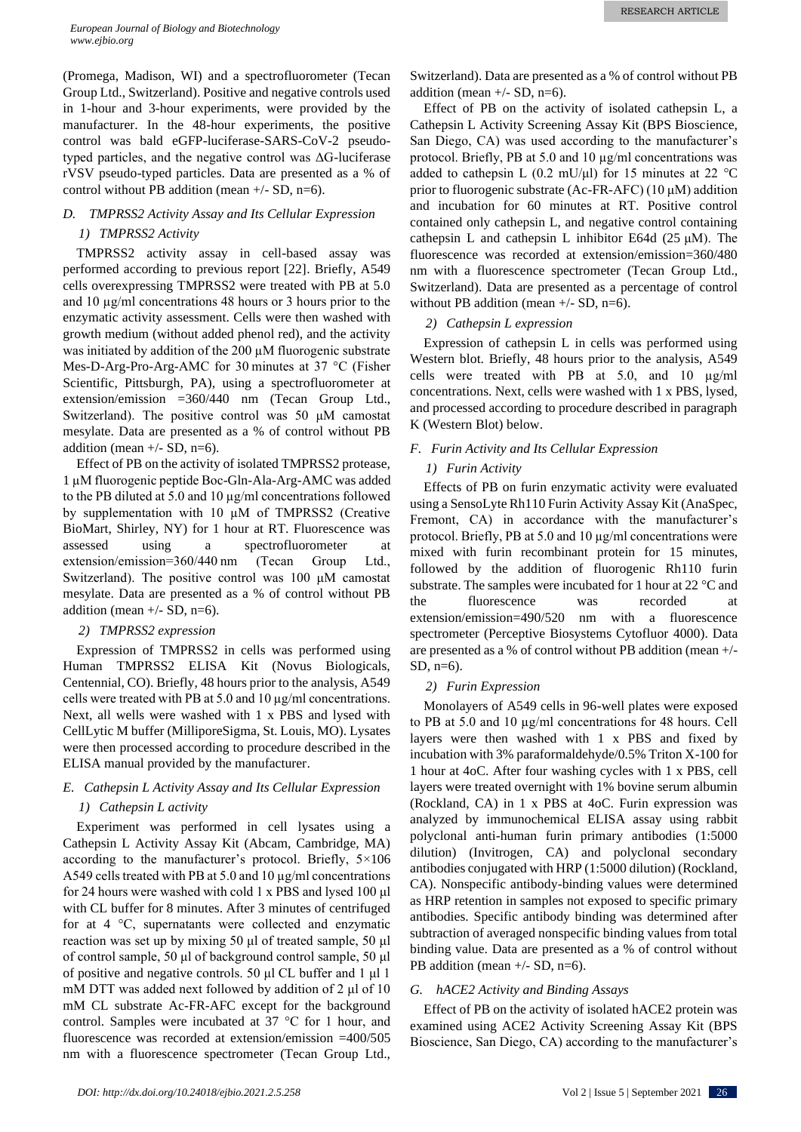(Promega, Madison, WI) and a spectrofluorometer (Tecan Group Ltd., Switzerland). Positive and negative controls used in 1-hour and 3-hour experiments, were provided by the manufacturer. In the 48-hour experiments, the positive control was bald eGFP-luciferase-SARS-CoV-2 pseudotyped particles, and the negative control was ΔG-luciferase rVSV pseudo-typed particles. Data are presented as a % of control without PB addition (mean  $+/-$  SD, n=6).

# *D. TMPRSS2 Activity Assay and Its Cellular Expression 1) TMPRSS2 Activity*

TMPRSS2 activity assay in cell-based assay was performed according to previous report [22]. Briefly, A549 cells overexpressing TMPRSS2 were treated with PB at 5.0 and 10 µg/ml concentrations 48 hours or 3 hours prior to the enzymatic activity assessment. Cells were then washed with growth medium (without added phenol red), and the activity was initiated by addition of the 200  $\mu$ M fluorogenic substrate Mes-D-Arg-Pro-Arg-AMC for 30 minutes at 37 °C (Fisher Scientific, Pittsburgh, PA), using a spectrofluorometer at extension/emission =360/440 nm (Tecan Group Ltd., Switzerland). The positive control was 50 μM camostat mesylate. Data are presented as a % of control without PB addition (mean  $+/-$  SD, n=6).

Effect of PB on the activity of isolated TMPRSS2 protease, 1 µM fluorogenic peptide Boc-Gln-Ala-Arg-AMC was added to the PB diluted at 5.0 and 10  $\mu$ g/ml concentrations followed by supplementation with 10 µM of TMPRSS2 (Creative BioMart, Shirley, NY) for 1 hour at RT. Fluorescence was assessed using a spectrofluorometer at extension/emission=360/440 nm (Tecan Group Ltd., Switzerland). The positive control was 100 μM camostat mesylate. Data are presented as a % of control without PB addition (mean  $+/-$  SD, n=6).

## *2) TMPRSS2 expression*

Expression of TMPRSS2 in cells was performed using Human TMPRSS2 ELISA Kit (Novus Biologicals, Centennial, CO). Briefly, 48 hours prior to the analysis, A549 cells were treated with PB at 5.0 and 10  $\mu$ g/ml concentrations. Next, all wells were washed with 1 x PBS and lysed with CellLytic M buffer (MilliporeSigma, St. Louis, MO). Lysates were then processed according to procedure described in the ELISA manual provided by the manufacturer.

# *E. Cathepsin L Activity Assay and Its Cellular Expression 1) Cathepsin L activity*

Experiment was performed in cell lysates using a Cathepsin L Activity Assay Kit (Abcam, Cambridge, MA) according to the manufacturer's protocol. Briefly, 5×106 A549 cells treated with PB at 5.0 and 10 µg/ml concentrations for 24 hours were washed with cold 1 x PBS and lysed 100 μl with CL buffer for 8 minutes. After 3 minutes of centrifuged for at 4 °C, supernatants were collected and enzymatic reaction was set up by mixing 50 μl of treated sample, 50 μl of control sample, 50 μl of background control sample, 50 μl of positive and negative controls. 50 μl CL buffer and 1 μl 1 mM DTT was added next followed by addition of 2 μl of 10 mM CL substrate Ac-FR-AFC except for the background control. Samples were incubated at 37 °C for 1 hour, and fluorescence was recorded at extension/emission =400/505 nm with a fluorescence spectrometer (Tecan Group Ltd.,

Switzerland). Data are presented as a % of control without PB addition (mean  $+/-$  SD, n=6).

Effect of PB on the activity of isolated cathepsin L, a Cathepsin L Activity Screening Assay Kit (BPS Bioscience, San Diego, CA) was used according to the manufacturer's protocol. Briefly, PB at 5.0 and 10  $\mu$ g/ml concentrations was added to cathepsin L (0.2 mU/μl) for 15 minutes at 22  $^{\circ}$ C prior to fluorogenic substrate (Ac-FR-AFC) (10 μM) addition and incubation for 60 minutes at RT. Positive control contained only cathepsin L, and negative control containing cathepsin L and cathepsin L inhibitor E64d (25  $\mu$ M). The fluorescence was recorded at extension/emission=360/480 nm with a fluorescence spectrometer (Tecan Group Ltd., Switzerland). Data are presented as a percentage of control without PB addition (mean  $+/-$  SD, n=6).

# *2) Cathepsin L expression*

Expression of cathepsin L in cells was performed using Western blot. Briefly, 48 hours prior to the analysis, A549 cells were treated with PB at 5.0, and 10 µg/ml concentrations. Next, cells were washed with 1 x PBS, lysed, and processed according to procedure described in paragraph K (Western Blot) below.

# *F. Furin Activity and Its Cellular Expression*

# *1) Furin Activity*

Effects of PB on furin enzymatic activity were evaluated using a SensoLyte Rh110 Furin Activity Assay Kit (AnaSpec, Fremont, CA) in accordance with the manufacturer's protocol. Briefly, PB at 5.0 and 10 µg/ml concentrations were mixed with furin recombinant protein for 15 minutes, followed by the addition of fluorogenic Rh110 furin substrate. The samples were incubated for 1 hour at 22 °C and the fluorescence was recorded at extension/emission=490/520 nm with a fluorescence spectrometer (Perceptive Biosystems Cytofluor 4000). Data are presented as a % of control without PB addition (mean +/- SD, n=6).

## *2) Furin Expression*

Monolayers of A549 cells in 96-well plates were exposed to PB at 5.0 and 10 µg/ml concentrations for 48 hours. Cell layers were then washed with 1 x PBS and fixed by incubation with 3% paraformaldehyde/0.5% Triton X-100 for 1 hour at 4oC. After four washing cycles with 1 x PBS, cell layers were treated overnight with 1% bovine serum albumin (Rockland, CA) in 1 x PBS at 4oC. Furin expression was analyzed by immunochemical ELISA assay using rabbit polyclonal anti-human furin primary antibodies (1:5000 dilution) (Invitrogen, CA) and polyclonal secondary antibodies conjugated with HRP (1:5000 dilution) (Rockland, CA). Nonspecific antibody-binding values were determined as HRP retention in samples not exposed to specific primary antibodies. Specific antibody binding was determined after subtraction of averaged nonspecific binding values from total binding value. Data are presented as a % of control without PB addition (mean  $+/-$  SD, n=6).

## *G. hACE2 Activity and Binding Assays*

Effect of PB on the activity of isolated hACE2 protein was examined using ACE2 Activity Screening Assay Kit (BPS Bioscience, San Diego, CA) according to the manufacturer's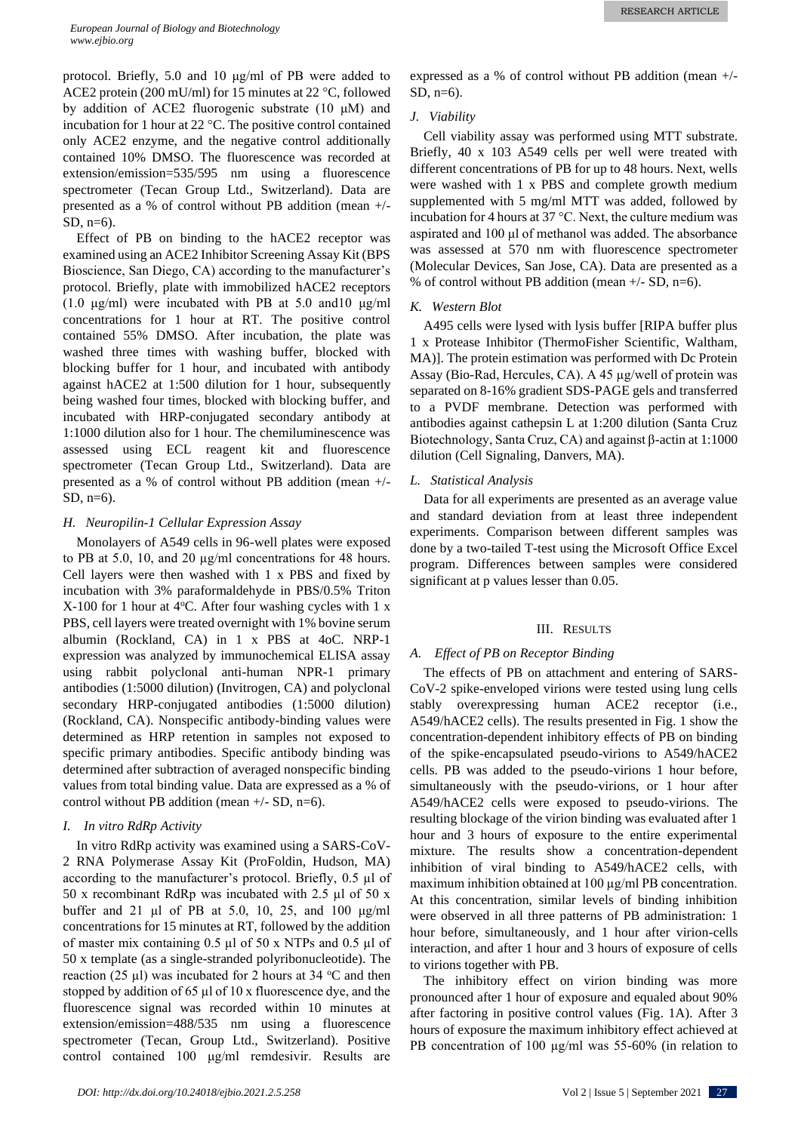protocol. Briefly, 5.0 and 10 μg/ml of PB were added to ACE2 protein (200 mU/ml) for 15 minutes at 22 °C, followed by addition of ACE2 fluorogenic substrate (10 μM) and incubation for 1 hour at 22 °C. The positive control contained only ACE2 enzyme, and the negative control additionally contained 10% DMSO. The fluorescence was recorded at extension/emission=535/595 nm using a fluorescence spectrometer (Tecan Group Ltd., Switzerland). Data are presented as a % of control without PB addition (mean +/- SD, n=6).

Effect of PB on binding to the hACE2 receptor was examined using an ACE2 Inhibitor Screening Assay Kit (BPS Bioscience, San Diego, CA) according to the manufacturer's protocol. Briefly, plate with immobilized hACE2 receptors (1.0 μg/ml) were incubated with PB at 5.0 and10 μg/ml concentrations for 1 hour at RT. The positive control contained 55% DMSO. After incubation, the plate was washed three times with washing buffer, blocked with blocking buffer for 1 hour, and incubated with antibody against hACE2 at 1:500 dilution for 1 hour, subsequently being washed four times, blocked with blocking buffer, and incubated with HRP-conjugated secondary antibody at 1:1000 dilution also for 1 hour. The chemiluminescence was assessed using ECL reagent kit and fluorescence spectrometer (Tecan Group Ltd., Switzerland). Data are presented as a % of control without PB addition (mean +/- SD,  $n=6$ ).

#### *H. Neuropilin-1 Cellular Expression Assay*

Monolayers of A549 cells in 96-well plates were exposed to PB at 5.0, 10, and 20 µg/ml concentrations for 48 hours. Cell layers were then washed with 1 x PBS and fixed by incubation with 3% paraformaldehyde in PBS/0.5% Triton  $X-100$  for 1 hour at 4 °C. After four washing cycles with 1 x PBS, cell layers were treated overnight with 1% bovine serum albumin (Rockland, CA) in 1 x PBS at 4oC. NRP-1 expression was analyzed by immunochemical ELISA assay using rabbit polyclonal anti-human NPR-1 primary antibodies (1:5000 dilution) (Invitrogen, CA) and polyclonal secondary HRP-conjugated antibodies (1:5000 dilution) (Rockland, CA). Nonspecific antibody-binding values were determined as HRP retention in samples not exposed to specific primary antibodies. Specific antibody binding was determined after subtraction of averaged nonspecific binding values from total binding value. Data are expressed as a % of control without PB addition (mean  $+/-$  SD, n=6).

#### *I. In vitro RdRp Activity*

In vitro RdRp activity was examined using a SARS-CoV-2 RNA Polymerase Assay Kit (ProFoldin, Hudson, MA) according to the manufacturer's protocol. Briefly, 0.5 µl of 50 x recombinant RdRp was incubated with 2.5 µl of 50 x buffer and 21 µl of PB at 5.0, 10, 25, and 100 μg/ml concentrations for 15 minutes at RT, followed by the addition of master mix containing 0.5 µl of 50 x NTPs and 0.5 µl of 50 x template (as a single-stranded polyribonucleotide). The reaction (25  $\mu$ l) was incubated for 2 hours at 34 °C and then stopped by addition of 65 µl of 10 x fluorescence dye, and the fluorescence signal was recorded within 10 minutes at extension/emission=488/535 nm using a fluorescence spectrometer (Tecan, Group Ltd., Switzerland). Positive control contained 100 μg/ml remdesivir. Results are expressed as a % of control without PB addition (mean +/- SD, n=6).

## *J. Viability*

Cell viability assay was performed using MTT substrate. Briefly, 40 x 103 A549 cells per well were treated with different concentrations of PB for up to 48 hours. Next, wells were washed with 1 x PBS and complete growth medium supplemented with 5 mg/ml MTT was added, followed by incubation for 4 hours at 37 °C. Next, the culture medium was aspirated and 100 μl of methanol was added. The absorbance was assessed at 570 nm with fluorescence spectrometer (Molecular Devices, San Jose, CA). Data are presented as a % of control without PB addition (mean  $+/-$  SD, n=6).

### *K. Western Blot*

A495 cells were lysed with lysis buffer [RIPA buffer plus 1 x Protease Inhibitor (ThermoFisher Scientific, Waltham, MA)]. The protein estimation was performed with Dc Protein Assay (Bio-Rad, Hercules, CA). A 45 µg/well of protein was separated on 8-16% gradient SDS-PAGE gels and transferred to a PVDF membrane. Detection was performed with antibodies against cathepsin L at 1:200 dilution (Santa Cruz Biotechnology, Santa Cruz, CA) and against β-actin at 1:1000 dilution (Cell Signaling, Danvers, MA).

## *L. Statistical Analysis*

Data for all experiments are presented as an average value and standard deviation from at least three independent experiments. Comparison between different samples was done by a two-tailed T-test using the Microsoft Office Excel program. Differences between samples were considered significant at p values lesser than 0.05.

#### III. RESULTS

## *A. Effect of PB on Receptor Binding*

The effects of PB on attachment and entering of SARS-CoV-2 spike-enveloped virions were tested using lung cells stably overexpressing human ACE2 receptor (i.e., A549/hACE2 cells). The results presented in Fig. 1 show the concentration-dependent inhibitory effects of PB on binding of the spike-encapsulated pseudo-virions to A549/hACE2 cells. PB was added to the pseudo-virions 1 hour before, simultaneously with the pseudo-virions, or 1 hour after A549/hACE2 cells were exposed to pseudo-virions. The resulting blockage of the virion binding was evaluated after 1 hour and 3 hours of exposure to the entire experimental mixture. The results show a concentration-dependent inhibition of viral binding to A549/hACE2 cells, with maximum inhibition obtained at 100 µg/ml PB concentration. At this concentration, similar levels of binding inhibition were observed in all three patterns of PB administration: 1 hour before, simultaneously, and 1 hour after virion-cells interaction, and after 1 hour and 3 hours of exposure of cells to virions together with PB.

The inhibitory effect on virion binding was more pronounced after 1 hour of exposure and equaled about 90% after factoring in positive control values (Fig. 1A). After 3 hours of exposure the maximum inhibitory effect achieved at PB concentration of 100 µg/ml was 55-60% (in relation to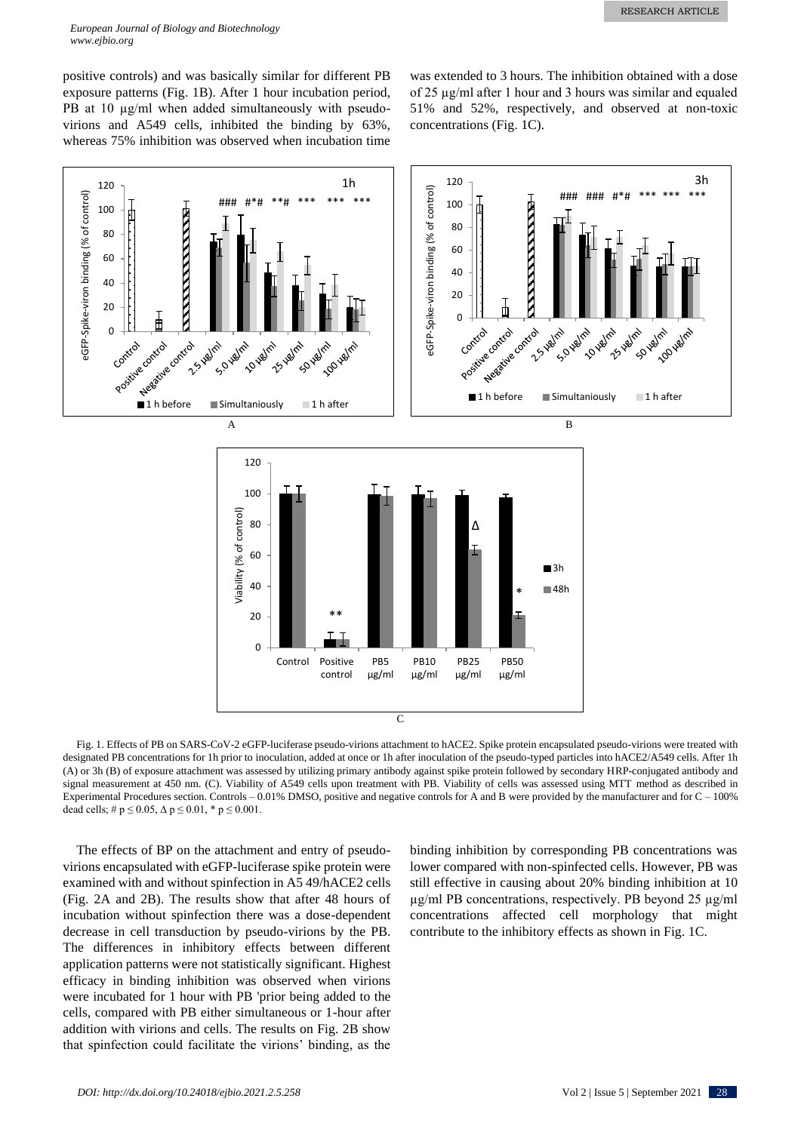positive controls) and was basically similar for different PB exposure patterns (Fig. 1B). After 1 hour incubation period, PB at 10  $\mu$ g/ml when added simultaneously with pseudovirions and A549 cells, inhibited the binding by 63%, whereas 75% inhibition was observed when incubation time was extended to 3 hours. The inhibition obtained with a dose of 25 µg/ml after 1 hour and 3 hours was similar and equaled 51% and 52%, respectively, and observed at non-toxic concentrations (Fig. 1C).



Fig. 1. Effects of PB on SARS-CoV-2 eGFP-luciferase pseudo-virions attachment to hACE2. Spike protein encapsulated pseudo-virions were treated with designated PB concentrations for 1h prior to inoculation, added at once or 1h after inoculation of the pseudo-typed particles into hACE2/A549 cells. After 1h (A) or 3h (B) of exposure attachment was assessed by utilizing primary antibody against spike protein followed by secondary HRP-conjugated antibody and signal measurement at 450 nm. (C). Viability of A549 cells upon treatment with PB. Viability of cells was assessed using MTT method as described in Experimental Procedures section. Controls – 0.01% DMSO, positive and negative controls for A and B were provided by the manufacturer and for C – 100% dead cells;  $\# p \le 0.05$ ,  $\Delta p \le 0.01$ ,  $* p \le 0.001$ .

The effects of BP on the attachment and entry of pseudovirions encapsulated with eGFP-luciferase spike protein were examined with and without spinfection in A5 49/hACE2 cells (Fig. 2A and 2B). The results show that after 48 hours of incubation without spinfection there was a dose-dependent decrease in cell transduction by pseudo-virions by the PB. The differences in inhibitory effects between different application patterns were not statistically significant. Highest efficacy in binding inhibition was observed when virions were incubated for 1 hour with PB 'prior being added to the cells, compared with PB either simultaneous or 1-hour after addition with virions and cells. The results on Fig. 2B show that spinfection could facilitate the virions' binding, as the binding inhibition by corresponding PB concentrations was lower compared with non-spinfected cells. However, PB was still effective in causing about 20% binding inhibition at 10 µg/ml PB concentrations, respectively. PB beyond 25 µg/ml concentrations affected cell morphology that might contribute to the inhibitory effects as shown in Fig. 1C.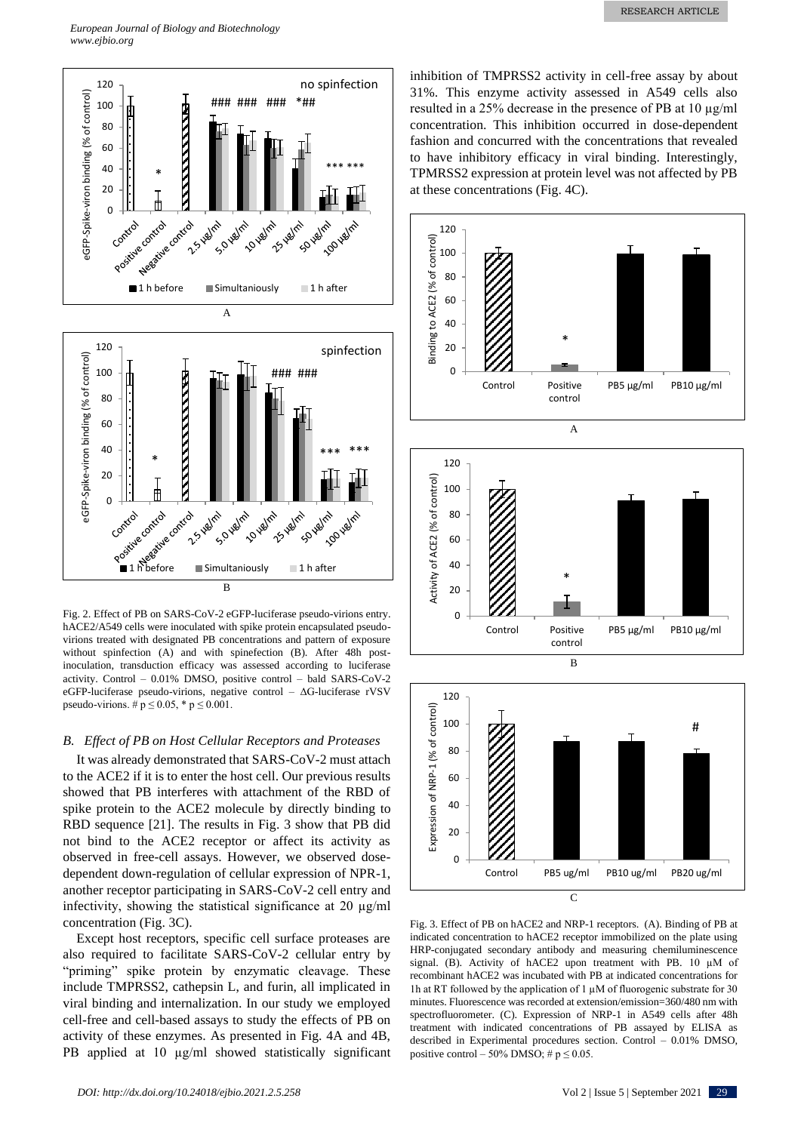

Fig. 2. Effect of PB on SARS-CoV-2 eGFP-luciferase pseudo-virions entry. hACE2/A549 cells were inoculated with spike protein encapsulated pseudovirions treated with designated PB concentrations and pattern of exposure without spinfection (A) and with spinefection (B). After 48h postinoculation, transduction efficacy was assessed according to luciferase activity. Control – 0.01% DMSO, positive control – bald SARS-CoV-2 eGFP-luciferase pseudo-virions, negative control – ΔG-luciferase rVSV pseudo-virions. #  $p \le 0.05$ , \*  $p \le 0.001$ .

## *B. Effect of PB on Host Cellular Receptors and Proteases*

It was already demonstrated that SARS-CoV-2 must attach to the ACE2 if it is to enter the host cell. Our previous results showed that PB interferes with attachment of the RBD of spike protein to the ACE2 molecule by directly binding to RBD sequence [21]. The results in Fig. 3 show that PB did not bind to the ACE2 receptor or affect its activity as observed in free-cell assays. However, we observed dosedependent down-regulation of cellular expression of NPR-1, another receptor participating in SARS-CoV-2 cell entry and infectivity, showing the statistical significance at 20 µg/ml concentration (Fig. 3C).

Except host receptors, specific cell surface proteases are also required to facilitate SARS-CoV-2 cellular entry by "priming" spike protein by enzymatic cleavage. These include TMPRSS2, cathepsin L, and furin, all implicated in viral binding and internalization. In our study we employed cell-free and cell-based assays to study the effects of PB on activity of these enzymes. As presented in Fig. 4A and 4B, PB applied at 10  $\mu$ g/ml showed statistically significant inhibition of TMPRSS2 activity in cell-free assay by about 31%. This enzyme activity assessed in A549 cells also resulted in a 25% decrease in the presence of PB at 10 µg/ml concentration. This inhibition occurred in dose-dependent fashion and concurred with the concentrations that revealed to have inhibitory efficacy in viral binding. Interestingly, TPMRSS2 expression at protein level was not affected by PB at these concentrations (Fig. 4C).





Fig. 3. Effect of PB on hACE2 and NRP-1 receptors. (A). Binding of PB at indicated concentration to hACE2 receptor immobilized on the plate using HRP-conjugated secondary antibody and measuring chemiluminescence signal. (B). Activity of hACE2 upon treatment with PB. 10 µM of recombinant hACE2 was incubated with PB at indicated concentrations for 1h at RT followed by the application of 1  $\mu$ M of fluorogenic substrate for 30 minutes. Fluorescence was recorded at extension/emission=360/480 nm with spectrofluorometer. (C). Expression of NRP-1 in A549 cells after 48h treatment with indicated concentrations of PB assayed by ELISA as described in Experimental procedures section. Control – 0.01% DMSO, positive control – 50% DMSO; #  $p \le 0.05$ .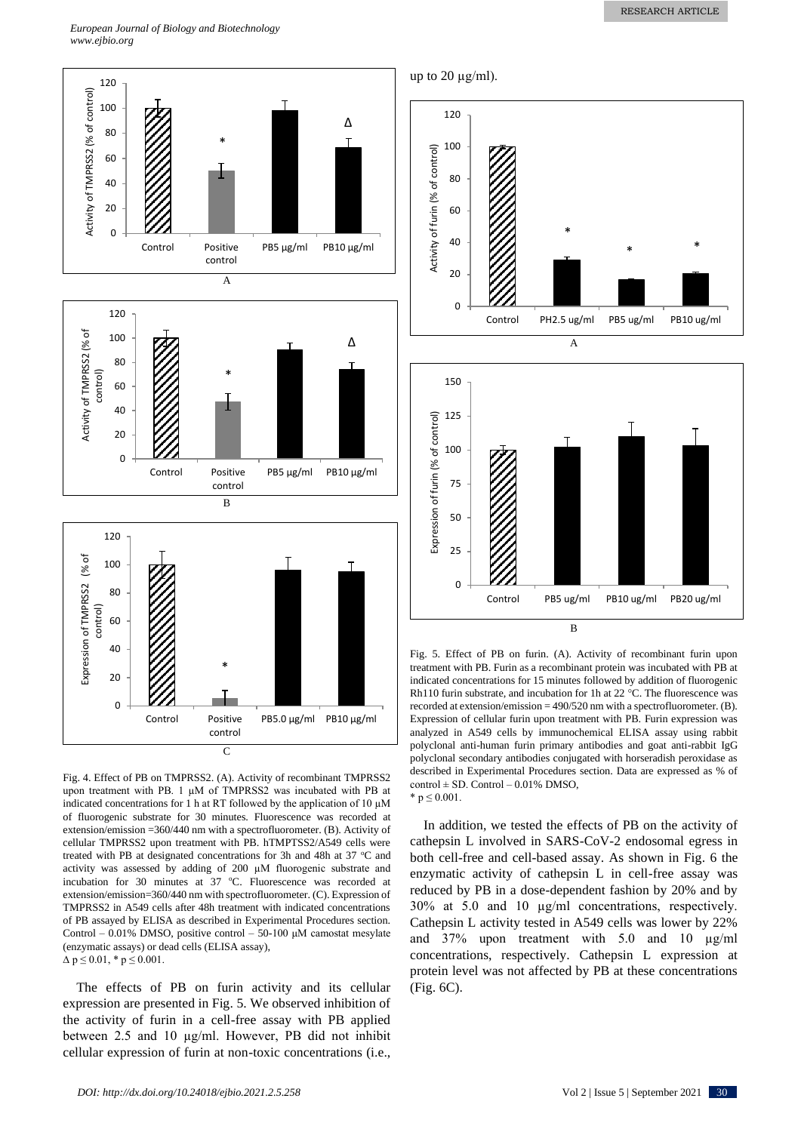*European Journal of Biology and Biotechnology www.ejbio.org*



Fig. 4. Effect of PB on TMPRSS2. (A). Activity of recombinant TMPRSS2 upon treatment with PB. 1 µM of TMPRSS2 was incubated with PB at indicated concentrations for 1 h at RT followed by the application of 10  $\mu$ M of fluorogenic substrate for 30 minutes. Fluorescence was recorded at extension/emission =360/440 nm with a spectrofluorometer. (B). Activity of cellular TMPRSS2 upon treatment with PB. hTMPTSS2/A549 cells were treated with PB at designated concentrations for 3h and 48h at 37  $^{\circ}$ C and activity was assessed by adding of 200 µM fluorogenic substrate and incubation for 30 minutes at  $37$  °C. Fluorescence was recorded at extension/emission=360/440 nm with spectrofluorometer. (C). Expression of TMPRSS2 in A549 cells after 48h treatment with indicated concentrations of PB assayed by ELISA as described in Experimental Procedures section. Control – 0.01% DMSO, positive control – 50-100 μM camostat mesylate (enzymatic assays) or dead cells (ELISA assay),  $\Delta p \leq 0.01$ , \*  $p \leq 0.001$ .

The effects of PB on furin activity and its cellular expression are presented in Fig. 5. We observed inhibition of the activity of furin in a cell-free assay with PB applied between 2.5 and 10 µg/ml. However, PB did not inhibit cellular expression of furin at non-toxic concentrations (i.e.,



up to 20  $\mu$ g/ml).

Fig. 5. Effect of PB on furin. (A). Activity of recombinant furin upon treatment with PB. Furin as a recombinant protein was incubated with PB at indicated concentrations for 15 minutes followed by addition of fluorogenic Rh110 furin substrate, and incubation for 1h at 22 °C. The fluorescence was recorded at extension/emission = 490/520 nm with a spectrofluorometer. (B). Expression of cellular furin upon treatment with PB. Furin expression was analyzed in A549 cells by immunochemical ELISA assay using rabbit polyclonal anti-human furin primary antibodies and goat anti-rabbit IgG polyclonal secondary antibodies conjugated with horseradish peroxidase as described in Experimental Procedures section. Data are expressed as % of  $control \pm SD$ . Control - 0.01% DMSO, \*  $p \le 0.001$ .

In addition, we tested the effects of PB on the activity of cathepsin L involved in SARS-CoV-2 endosomal egress in both cell-free and cell-based assay. As shown in Fig. 6 the enzymatic activity of cathepsin L in cell-free assay was reduced by PB in a dose-dependent fashion by 20% and by 30% at 5.0 and 10 µg/ml concentrations, respectively. Cathepsin L activity tested in A549 cells was lower by 22% and 37% upon treatment with 5.0 and 10 µg/ml concentrations, respectively. Cathepsin L expression at protein level was not affected by PB at these concentrations (Fig. 6C).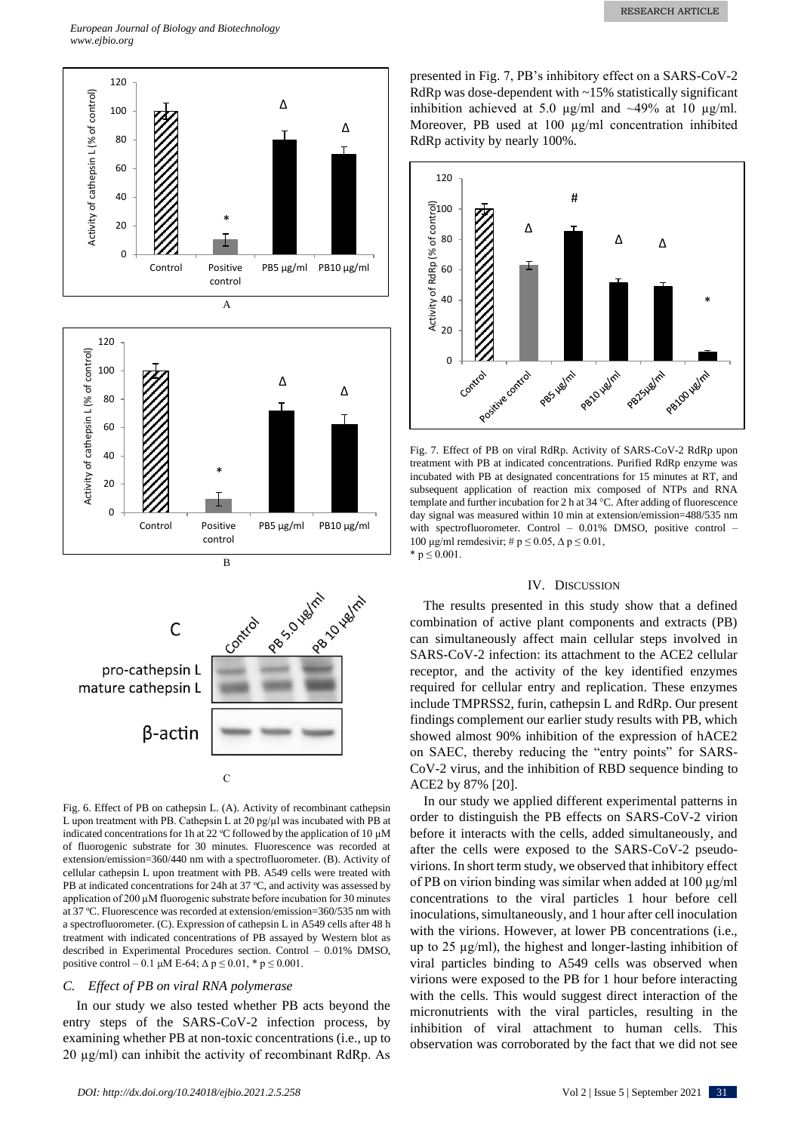

Fig. 6. Effect of PB on cathepsin L. (A). Activity of recombinant cathepsin L upon treatment with PB. Cathepsin L at 20 pg/ $\mu$ l was incubated with PB at indicated concentrations for 1h at 22  $^{\circ}$ C followed by the application of 10 µM of fluorogenic substrate for 30 minutes. Fluorescence was recorded at extension/emission=360/440 nm with a spectrofluorometer. (B). Activity of cellular cathepsin L upon treatment with PB. A549 cells were treated with PB at indicated concentrations for 24h at 37  $\degree$ C, and activity was assessed by application of 200 µM fluorogenic substrate before incubation for 30 minutes at 37 °C. Fluorescence was recorded at extension/emission=360/535 nm with a spectrofluorometer. (C). Expression of cathepsin L in A549 cells after 48 h treatment with indicated concentrations of PB assayed by Western blot as described in Experimental Procedures section. Control – 0.01% DMSO, positive control – 0.1 μM E-64; Δ p ≤ 0.01, \* p ≤ 0.001.

#### *C. Effect of PB on viral RNA polymerase*

In our study we also tested whether PB acts beyond the entry steps of the SARS-CoV-2 infection process, by examining whether PB at non-toxic concentrations (i.e., up to 20 µg/ml) can inhibit the activity of recombinant RdRp. As presented in Fig. 7, PB's inhibitory effect on a SARS-CoV-2 RdRp was dose-dependent with ~15% statistically significant inhibition achieved at 5.0  $\mu$ g/ml and ~49% at 10  $\mu$ g/ml. Moreover, PB used at 100 µg/ml concentration inhibited RdRp activity by nearly 100%.



Fig. 7. Effect of PB on viral RdRp. Activity of SARS-CoV-2 RdRp upon treatment with PB at indicated concentrations. Purified RdRp enzyme was incubated with PB at designated concentrations for 15 minutes at RT, and subsequent application of reaction mix composed of NTPs and RNA template and further incubation for 2 h at 34 °C. After adding of fluorescence day signal was measured within 10 min at extension/emission=488/535 nm with spectrofluorometer. Control - 0.01% DMSO, positive control -100 μg/ml remdesivir; # p ≤ 0.05, Δ p ≤ 0.01, \*  $p \le 0.001$ .

#### IV. DISCUSSION

The results presented in this study show that a defined combination of active plant components and extracts (PB) can simultaneously affect main cellular steps involved in SARS-CoV-2 infection: its attachment to the ACE2 cellular receptor, and the activity of the key identified enzymes required for cellular entry and replication. These enzymes include TMPRSS2, furin, cathepsin L and RdRp. Our present findings complement our earlier study results with PB, which showed almost 90% inhibition of the expression of hACE2 on SAEC, thereby reducing the "entry points" for SARS-CoV-2 virus, and the inhibition of RBD sequence binding to ACE2 by 87% [20].

In our study we applied different experimental patterns in order to distinguish the PB effects on SARS-CoV-2 virion before it interacts with the cells, added simultaneously, and after the cells were exposed to the SARS-CoV-2 pseudovirions. In short term study, we observed that inhibitory effect of PB on virion binding was similar when added at 100 µg/ml concentrations to the viral particles 1 hour before cell inoculations, simultaneously, and 1 hour after cell inoculation with the virions. However, at lower PB concentrations (i.e., up to 25 µg/ml), the highest and longer-lasting inhibition of viral particles binding to A549 cells was observed when virions were exposed to the PB for 1 hour before interacting with the cells. This would suggest direct interaction of the micronutrients with the viral particles, resulting in the inhibition of viral attachment to human cells. This observation was corroborated by the fact that we did not see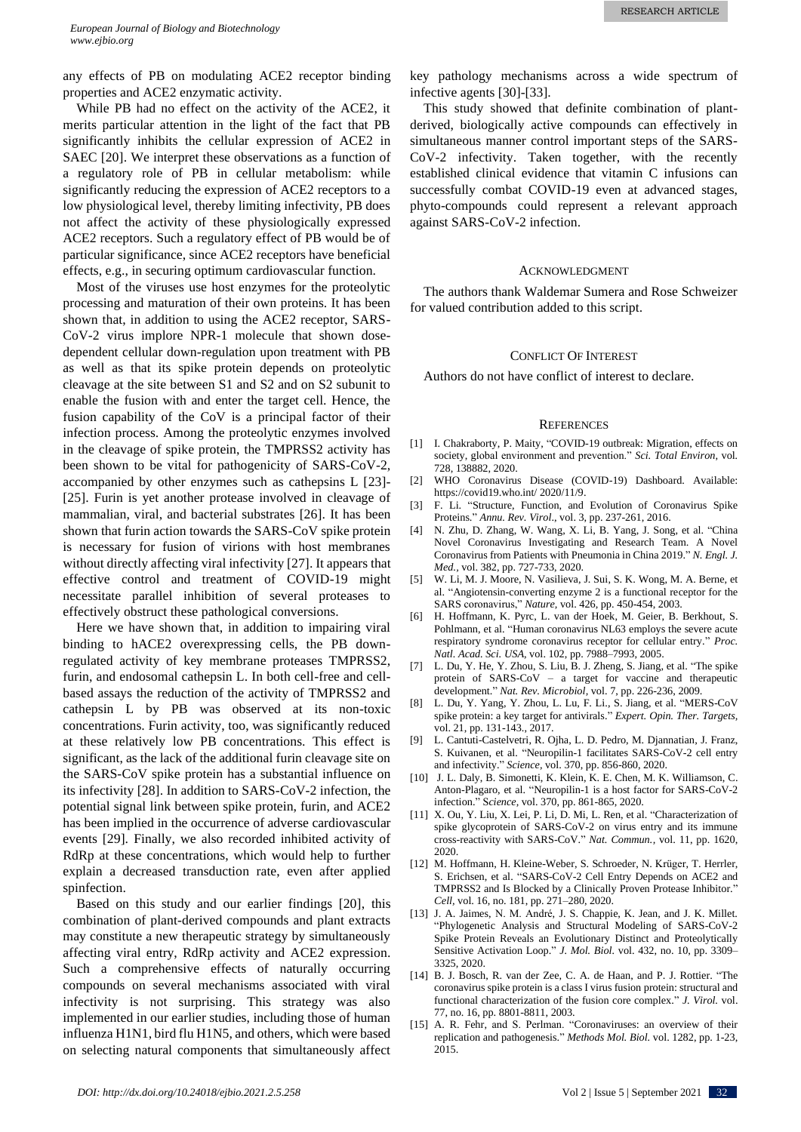any effects of PB on modulating ACE2 receptor binding properties and ACE2 enzymatic activity.

While PB had no effect on the activity of the ACE2, it merits particular attention in the light of the fact that PB significantly inhibits the cellular expression of ACE2 in SAEC [20]. We interpret these observations as a function of a regulatory role of PB in cellular metabolism: while significantly reducing the expression of ACE2 receptors to a low physiological level, thereby limiting infectivity, PB does not affect the activity of these physiologically expressed ACE2 receptors. Such a regulatory effect of PB would be of particular significance, since ACE2 receptors have beneficial effects, e.g., in securing optimum cardiovascular function.

Most of the viruses use host enzymes for the proteolytic processing and maturation of their own proteins. It has been shown that, in addition to using the ACE2 receptor, SARS-CoV-2 virus implore NPR-1 molecule that shown dosedependent cellular down-regulation upon treatment with PB as well as that its spike protein depends on proteolytic cleavage at the site between S1 and S2 and on S2 subunit to enable the fusion with and enter the target cell. Hence, the fusion capability of the CoV is a principal factor of their infection process. Among the proteolytic enzymes involved in the cleavage of spike protein, the TMPRSS2 activity has been shown to be vital for pathogenicity of SARS-CoV-2, accompanied by other enzymes such as cathepsins L [23]- [25]. Furin is yet another protease involved in cleavage of mammalian, viral, and bacterial substrates [26]. It has been shown that furin action towards the SARS-CoV spike protein is necessary for fusion of virions with host membranes without directly affecting viral infectivity [27]. It appears that effective control and treatment of COVID-19 might necessitate parallel inhibition of several proteases to effectively obstruct these pathological conversions.

Here we have shown that, in addition to impairing viral binding to hACE2 overexpressing cells, the PB downregulated activity of key membrane proteases TMPRSS2, furin, and endosomal cathepsin L. In both cell-free and cellbased assays the reduction of the activity of TMPRSS2 and cathepsin L by PB was observed at its non-toxic concentrations. Furin activity, too, was significantly reduced at these relatively low PB concentrations. This effect is significant, as the lack of the additional furin cleavage site on the SARS-CoV spike protein has a substantial influence on its infectivity [28]. In addition to SARS-CoV-2 infection, the potential signal link between spike protein, furin, and ACE2 has been implied in the occurrence of adverse cardiovascular events [29]. Finally, we also recorded inhibited activity of RdRp at these concentrations, which would help to further explain a decreased transduction rate, even after applied spinfection.

Based on this study and our earlier findings [20], this combination of plant-derived compounds and plant extracts may constitute a new therapeutic strategy by simultaneously affecting viral entry, RdRp activity and ACE2 expression. Such a comprehensive effects of naturally occurring compounds on several mechanisms associated with viral infectivity is not surprising. This strategy was also implemented in our earlier studies, including those of human influenza H1N1, bird flu H1N5, and others, which were based on selecting natural components that simultaneously affect key pathology mechanisms across a wide spectrum of infective agents [30]-[33].

This study showed that definite combination of plantderived, biologically active compounds can effectively in simultaneous manner control important steps of the SARS-CoV-2 infectivity. Taken together, with the recently established clinical evidence that vitamin C infusions can successfully combat COVID-19 even at advanced stages, phyto-compounds could represent a relevant approach against SARS-CoV-2 infection.

#### ACKNOWLEDGMENT

The authors thank Waldemar Sumera and Rose Schweizer for valued contribution added to this script.

#### CONFLICT OF INTEREST

Authors do not have conflict of interest to declare.

#### **REFERENCES**

- [1] I. Chakraborty, P. Maity, "COVID-19 outbreak: Migration, effects on society, global environment and prevention." *Sci. Total Environ,* vol*.* 728, 138882, 2020.
- [2] WHO Coronavirus Disease (COVID-19) Dashboard. Available: <https://covid19.who.int/> 2020/11/9.
- [3] F. Li. "Structure, Function, and Evolution of Coronavirus Spike Proteins." *Annu. Rev. Virol*., vol. 3, pp. 237-261, 2016.
- [4] N. Zhu, D. Zhang, W. Wang, X. Li, B. Yang, J. Song, et al. "China Novel Coronavirus Investigating and Research Team. A Novel Coronavirus from Patients with Pneumonia in China 2019." *N. Engl. J. Med.,* vol. 382, pp. 727-733, 2020.
- [5] W. Li, M. J. Moore, N. Vasilieva, J. Sui, S. K. Wong, M. A. Berne, et al. "Angiotensin-converting enzyme 2 is a functional receptor for the SARS coronavirus," *Nature,* vol. 426, pp. 450-454, 2003.
- [6] H. Hoffmann, K. Pyrc, L. van der Hoek, M. Geier, B. Berkhout, S. Pohlmann, et al. "Human coronavirus NL63 employs the severe acute respiratory syndrome coronavirus receptor for cellular entry." *Proc. Natl. Acad. Sci. USA,* vol. 102, pp. 7988–7993, 2005.
- [7] L. Du, Y. He, Y. Zhou, S. Liu, B. J. Zheng, S. Jiang, et al. "The spike protein of SARS-CoV – a target for vaccine and therapeutic development." *Nat. Rev. Microbiol,* vol. 7, pp. 226-236, 2009.
- [8] L. Du, Y. Yang, Y. Zhou, L. Lu, F. Li., S. Jiang, et al. "MERS-CoV spike protein: a key target for antivirals." *Expert. Opin. Ther. Targets,* vol. 21, pp. 131-143., 2017.
- [9] L. Cantuti-Castelvetri, R. Ojha, L. D. Pedro, M. Djannatian, J. Franz, S. Kuivanen, et al. "Neuropilin-1 facilitates SARS-CoV-2 cell entry and infectivity." *Science,* vol. 370, pp. 856-860, 2020.
- [10] J. L. Daly, B. Simonetti, K. Klein, K. E. Chen, M. K. Williamson, C. Anton-Plagaro, et al. "Neuropilin-1 is a host factor for SARS-CoV-2 infection." S*cience,* vol. 370, pp. 861-865, 2020.
- [11] X. Ou, Y. Liu, X. Lei, P. Li, D. Mi, L. Ren, et al. "Characterization of spike glycoprotein of SARS-CoV-2 on virus entry and its immune cross-reactivity with SARS-CoV." *Nat. Commun.,* vol. 11, pp. 1620, 2020.
- [12] M. Hoffmann, H. Kleine-Weber, S. Schroeder, N. Krüger, T. Herrler, S. Erichsen, et al. "SARS-CoV-2 Cell Entry Depends on ACE2 and TMPRSS2 and Is Blocked by a Clinically Proven Protease Inhibitor." *Cell,* vol. 16, no. 181, pp. 271–280, 2020.
- [13] J. A. Jaimes, N. M. André, J. S. Chappie, K. Jean, and J. K. Millet. "Phylogenetic Analysis and Structural Modeling of SARS-CoV-2 Spike Protein Reveals an Evolutionary Distinct and Proteolytically Sensitive Activation Loop." *J. Mol. Biol.* vol. 432, no. 10, pp. 3309– 3325, 2020.
- [14] B. J. Bosch, R. van der Zee, C. A. de Haan, and P. J. Rottier. "The coronavirus spike protein is a class I virus fusion protein: structural and functional characterization of the fusion core complex." *J. Virol.* vol. 77, no. 16, pp. 8801-8811, 2003.
- [15] A. R. Fehr, and S. Perlman. "Coronaviruses: an overview of their replication and pathogenesis." *Methods Mol. Biol.* vol. 1282, pp. 1-23, 2015.